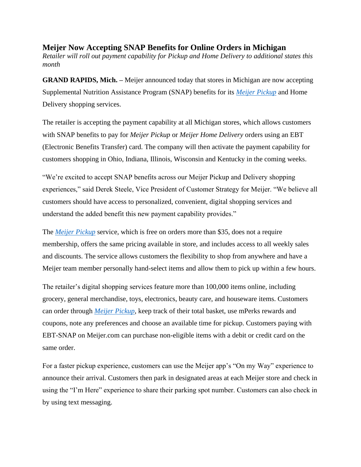**Meijer Now Accepting SNAP Benefits for Online Orders in Michigan** *Retailer will roll out payment capability for Pickup and Home Delivery to additional states this month* 

**GRAND RAPIDS, Mich.** – Meijer announced today that stores in Michigan are now accepting Supplemental Nutrition Assistance Program (SNAP) benefits for its *[Meijer Pickup](https://www.meijer.com/services/more-ways-to-meijer.html)* and Home Delivery shopping services.

The retailer is accepting the payment capability at all Michigan stores, which allows customers with SNAP benefits to pay for *Meijer Pickup* or *Meijer Home Delivery* orders using an EBT (Electronic Benefits Transfer) card. The company will then activate the payment capability for customers shopping in Ohio, Indiana, Illinois, Wisconsin and Kentucky in the coming weeks.

"We're excited to accept SNAP benefits across our Meijer Pickup and Delivery shopping experiences," said Derek Steele, Vice President of Customer Strategy for Meijer. "We believe all customers should have access to personalized, convenient, digital shopping services and understand the added benefit this new payment capability provides."

The *[Meijer Pickup](https://c212.net/c/link/?t=0&l=en&o=2951658-1&h=3575713711&u=https%3A%2F%2Fwww.meijer.com%2Fdepartments.html%3Ficid%3DHP%3Apromo%3A100420%3AFreePickup&a=Meijer+Pickup)* service, which is free on orders more than \$35, does not a require membership, offers the same pricing available in store, and includes access to all weekly sales and discounts. The service allows customers the flexibility to shop from anywhere and have a Meijer team member personally hand-select items and allow them to pick up within a few hours.

The retailer's digital shopping services feature more than 100,000 items online, including grocery, general merchandise, toys, electronics, beauty care, and houseware items. Customers can order through *[Meijer Pickup](https://c212.net/c/link/?t=0&l=en&o=2951658-1&h=3575713711&u=https%3A%2F%2Fwww.meijer.com%2Fdepartments.html%3Ficid%3DHP%3Apromo%3A100420%3AFreePickup&a=Meijer+Pickup)*, keep track of their total basket, use mPerks rewards and coupons, note any preferences and choose an available time for pickup. Customers paying with EBT-SNAP on Meijer.com can purchase non-eligible items with a debit or credit card on the same order.

For a faster pickup experience, customers can use the Meijer app's "On my Way" experience to announce their arrival. Customers then park in designated areas at each Meijer store and check in using the "I'm Here" experience to share their parking spot number. Customers can also check in by using text messaging.